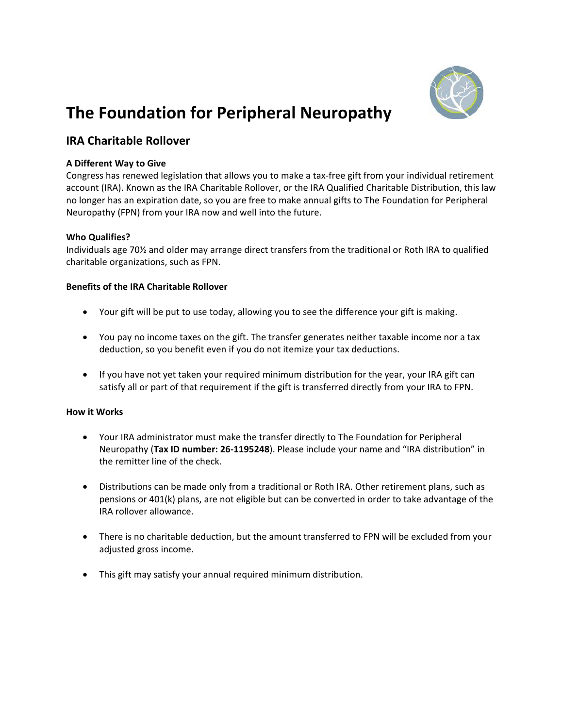

# **The Foundation for Peripheral Neuropathy**

# **IRA Charitable Rollover**

### **A Different Way to Give**

Congress has renewed legislation that allows you to make a tax‐free gift from your individual retirement account (IRA). Known as the IRA Charitable Rollover, or the IRA Qualified Charitable Distribution, this law no longer has an expiration date, so you are free to make annual gifts to The Foundation for Peripheral Neuropathy (FPN) from your IRA now and well into the future.

## **Who Qualifies?**

Individuals age 70½ and older may arrange direct transfers from the traditional or Roth IRA to qualified charitable organizations, such as FPN.

#### **Benefits of the IRA Charitable Rollover**

- Your gift will be put to use today, allowing you to see the difference your gift is making.
- You pay no income taxes on the gift. The transfer generates neither taxable income nor a tax deduction, so you benefit even if you do not itemize your tax deductions.
- If you have not yet taken your required minimum distribution for the year, your IRA gift can satisfy all or part of that requirement if the gift is transferred directly from your IRA to FPN.

#### **How it Works**

- Your IRA administrator must make the transfer directly to The Foundation for Peripheral Neuropathy (**Tax ID number: 26‐1195248**). Please include your name and "IRA distribution" in the remitter line of the check.
- Distributions can be made only from a traditional or Roth IRA. Other retirement plans, such as pensions or 401(k) plans, are not eligible but can be converted in order to take advantage of the IRA rollover allowance.
- There is no charitable deduction, but the amount transferred to FPN will be excluded from your adjusted gross income.
- This gift may satisfy your annual required minimum distribution.